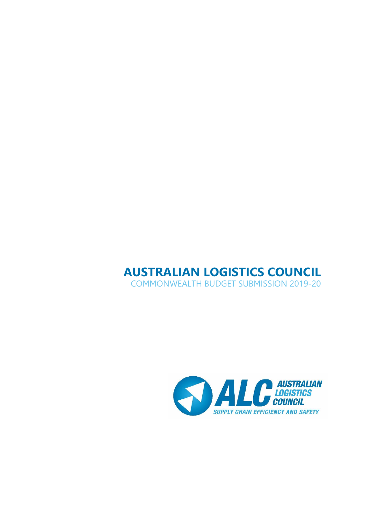# **AUSTRALIAN LOGISTICS COUNCIL** COMMONWEALTH BUDGET SUBMISSION 2019-20

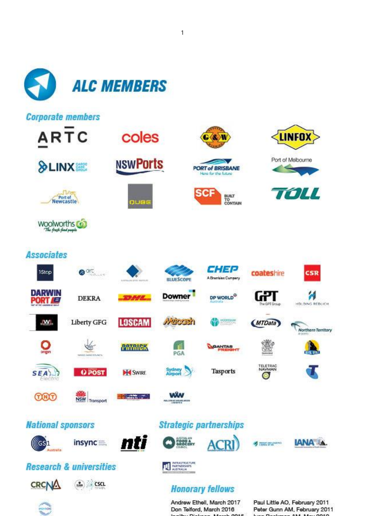

1

Don Telford, March 2016

Paul Little AO, February 2011 Peter Gunn AM, February 2011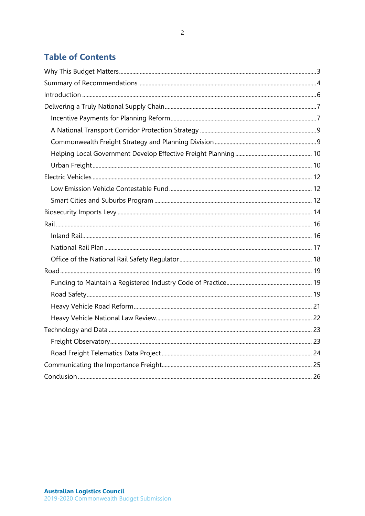# **Table of Contents**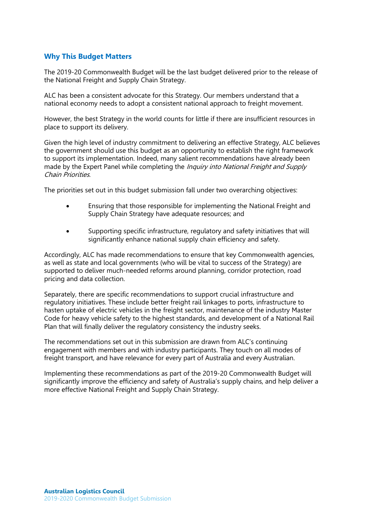# <span id="page-3-0"></span>**Why This Budget Matters**

The 2019-20 Commonwealth Budget will be the last budget delivered prior to the release of the National Freight and Supply Chain Strategy.

ALC has been a consistent advocate for this Strategy. Our members understand that a national economy needs to adopt a consistent national approach to freight movement.

However, the best Strategy in the world counts for little if there are insufficient resources in place to support its delivery.

Given the high level of industry commitment to delivering an effective Strategy, ALC believes the government should use this budget as an opportunity to establish the right framework to support its implementation. Indeed, many salient recommendations have already been made by the Expert Panel while completing the *Inquiry into National Freight and Supply* Chain Priorities.

The priorities set out in this budget submission fall under two overarching objectives:

- Ensuring that those responsible for implementing the National Freight and Supply Chain Strategy have adequate resources; and
- Supporting specific infrastructure, regulatory and safety initiatives that will significantly enhance national supply chain efficiency and safety.

Accordingly, ALC has made recommendations to ensure that key Commonwealth agencies, as well as state and local governments (who will be vital to success of the Strategy) are supported to deliver much-needed reforms around planning, corridor protection, road pricing and data collection.

Separately, there are specific recommendations to support crucial infrastructure and regulatory initiatives. These include better freight rail linkages to ports, infrastructure to hasten uptake of electric vehicles in the freight sector, maintenance of the industry Master Code for heavy vehicle safety to the highest standards, and development of a National Rail Plan that will finally deliver the regulatory consistency the industry seeks.

The recommendations set out in this submission are drawn from ALC's continuing engagement with members and with industry participants. They touch on all modes of freight transport, and have relevance for every part of Australia and every Australian.

Implementing these recommendations as part of the 2019-20 Commonwealth Budget will significantly improve the efficiency and safety of Australia's supply chains, and help deliver a more effective National Freight and Supply Chain Strategy.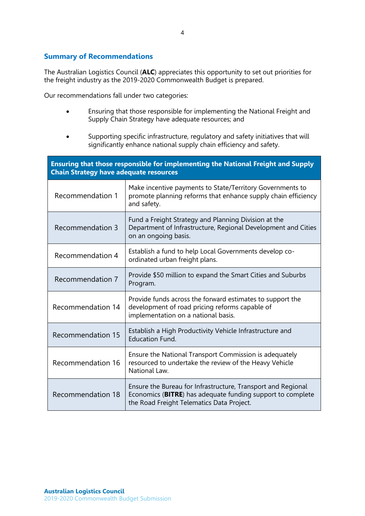# <span id="page-4-0"></span>**Summary of Recommendations**

The Australian Logistics Council (**ALC**) appreciates this opportunity to set out priorities for the freight industry as the 2019-2020 Commonwealth Budget is prepared.

Our recommendations fall under two categories:

- Ensuring that those responsible for implementing the National Freight and Supply Chain Strategy have adequate resources; and
- Supporting specific infrastructure, regulatory and safety initiatives that will significantly enhance national supply chain efficiency and safety.

| Ensuring that those responsible for implementing the National Freight and Supply<br><b>Chain Strategy have adequate resources</b> |                                                                                                                                                                         |  |
|-----------------------------------------------------------------------------------------------------------------------------------|-------------------------------------------------------------------------------------------------------------------------------------------------------------------------|--|
| Recommendation 1                                                                                                                  | Make incentive payments to State/Territory Governments to<br>promote planning reforms that enhance supply chain efficiency<br>and safety.                               |  |
| Recommendation 3                                                                                                                  | Fund a Freight Strategy and Planning Division at the<br>Department of Infrastructure, Regional Development and Cities<br>on an ongoing basis.                           |  |
| Recommendation 4                                                                                                                  | Establish a fund to help Local Governments develop co-<br>ordinated urban freight plans.                                                                                |  |
| Recommendation 7                                                                                                                  | Provide \$50 million to expand the Smart Cities and Suburbs<br>Program.                                                                                                 |  |
| Recommendation 14                                                                                                                 | Provide funds across the forward estimates to support the<br>development of road pricing reforms capable of<br>implementation on a national basis.                      |  |
| Recommendation 15                                                                                                                 | Establish a High Productivity Vehicle Infrastructure and<br><b>Education Fund.</b>                                                                                      |  |
| Recommendation 16                                                                                                                 | Ensure the National Transport Commission is adequately<br>resourced to undertake the review of the Heavy Vehicle<br>National Law.                                       |  |
| Recommendation 18                                                                                                                 | Ensure the Bureau for Infrastructure, Transport and Regional<br>Economics (BITRE) has adequate funding support to complete<br>the Road Freight Telematics Data Project. |  |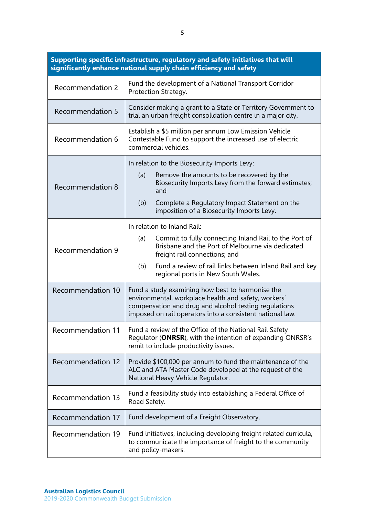| Supporting specific infrastructure, regulatory and safety initiatives that will<br>significantly enhance national supply chain efficiency and safety |                                                                                                                                                                                                                                                                                          |  |
|------------------------------------------------------------------------------------------------------------------------------------------------------|------------------------------------------------------------------------------------------------------------------------------------------------------------------------------------------------------------------------------------------------------------------------------------------|--|
| Recommendation 2                                                                                                                                     | Fund the development of a National Transport Corridor<br>Protection Strategy.                                                                                                                                                                                                            |  |
| <b>Recommendation 5</b>                                                                                                                              | Consider making a grant to a State or Territory Government to<br>trial an urban freight consolidation centre in a major city.                                                                                                                                                            |  |
| Recommendation 6                                                                                                                                     | Establish a \$5 million per annum Low Emission Vehicle<br>Contestable Fund to support the increased use of electric<br>commercial vehicles.                                                                                                                                              |  |
| Recommendation 8                                                                                                                                     | In relation to the Biosecurity Imports Levy:<br>Remove the amounts to be recovered by the<br>(a)<br>Biosecurity Imports Levy from the forward estimates;<br>and<br>Complete a Regulatory Impact Statement on the<br>(b)<br>imposition of a Biosecurity Imports Levy.                     |  |
| Recommendation 9                                                                                                                                     | In relation to Inland Rail:<br>Commit to fully connecting Inland Rail to the Port of<br>(a)<br>Brisbane and the Port of Melbourne via dedicated<br>freight rail connections; and<br>(b)<br>Fund a review of rail links between Inland Rail and key<br>regional ports in New South Wales. |  |
| Recommendation 10                                                                                                                                    | Fund a study examining how best to harmonise the<br>environmental, workplace health and safety, workers'<br>compensation and drug and alcohol testing regulations<br>imposed on rail operators into a consistent national law.                                                           |  |
| <b>Recommendation 11</b>                                                                                                                             | Fund a review of the Office of the National Rail Safety<br>Requlator (ONRSR), with the intention of expanding ONRSR's<br>remit to include productivity issues.                                                                                                                           |  |
| Recommendation 12                                                                                                                                    | Provide \$100,000 per annum to fund the maintenance of the<br>ALC and ATA Master Code developed at the request of the<br>National Heavy Vehicle Regulator.                                                                                                                               |  |
| Recommendation 13                                                                                                                                    | Fund a feasibility study into establishing a Federal Office of<br>Road Safety.                                                                                                                                                                                                           |  |
| Recommendation 17                                                                                                                                    | Fund development of a Freight Observatory.                                                                                                                                                                                                                                               |  |
| Recommendation 19                                                                                                                                    | Fund initiatives, including developing freight related curricula,<br>to communicate the importance of freight to the community<br>and policy-makers.                                                                                                                                     |  |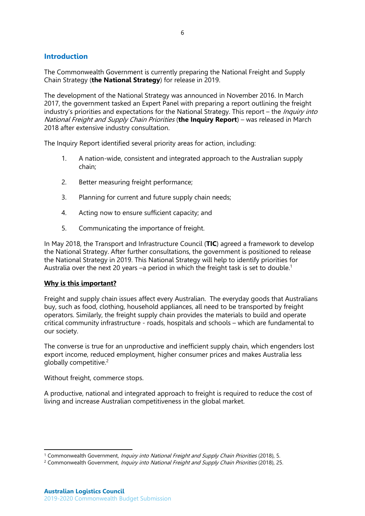# <span id="page-6-0"></span>**Introduction**

The Commonwealth Government is currently preparing the National Freight and Supply Chain Strategy (**the National Strategy**) for release in 2019.

The development of the National Strategy was announced in November 2016. In March 2017, the government tasked an Expert Panel with preparing a report outlining the freight industry's priorities and expectations for the National Strategy. This report – the *Inquiry into* National Freight and Supply Chain Priorities (**the Inquiry Report**) – was released in March 2018 after extensive industry consultation.

The Inquiry Report identified several priority areas for action, including:

- 1. A nation-wide, consistent and integrated approach to the Australian supply chain;
- 2. Better measuring freight performance;
- 3. Planning for current and future supply chain needs;
- 4. Acting now to ensure sufficient capacity; and
- 5. Communicating the importance of freight.

In May 2018, the Transport and Infrastructure Council (**TIC**) agreed a framework to develop the National Strategy. After further consultations, the government is positioned to release the National Strategy in 2019. This National Strategy will help to identify priorities for Australia over the next 20 years –a period in which the freight task is set to double.<sup>1</sup>

#### **Why is this important?**

Freight and supply chain issues affect every Australian. The everyday goods that Australians buy, such as food, clothing, household appliances, all need to be transported by freight operators. Similarly, the freight supply chain provides the materials to build and operate critical community infrastructure - roads, hospitals and schools – which are fundamental to our society.

The converse is true for an unproductive and inefficient supply chain, which engenders lost export income, reduced employment, higher consumer prices and makes Australia less globally competitive. 2

Without freight, commerce stops.

 $\overline{a}$ 

A productive, national and integrated approach to freight is required to reduce the cost of living and increase Australian competitiveness in the global market.

<sup>&</sup>lt;sup>1</sup> Commonwealth Government, *Inquiry into National Freight and Supply Chain Priorities* (2018), 5.

<sup>&</sup>lt;sup>2</sup> Commonwealth Government, Inquiry into National Freight and Supply Chain Priorities (2018), 25.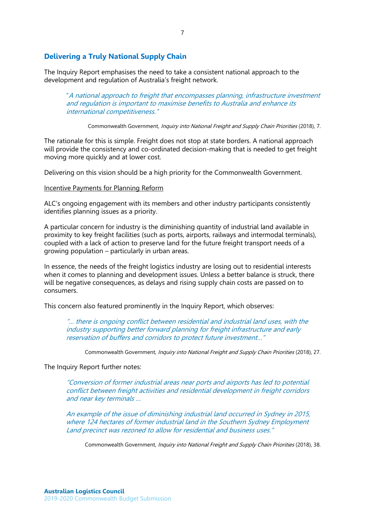# <span id="page-7-0"></span>**Delivering a Truly National Supply Chain**

The Inquiry Report emphasises the need to take a consistent national approach to the development and regulation of Australia's freight network.

"A national approach to freight that encompasses planning, infrastructure investment and regulation is important to maximise benefits to Australia and enhance its international competitiveness."

Commonwealth Government, Inquiry into National Freight and Supply Chain Priorities (2018), 7.

The rationale for this is simple. Freight does not stop at state borders. A national approach will provide the consistency and co-ordinated decision-making that is needed to get freight moving more quickly and at lower cost.

Delivering on this vision should be a high priority for the Commonwealth Government.

## <span id="page-7-1"></span>Incentive Payments for Planning Reform

ALC's ongoing engagement with its members and other industry participants consistently identifies planning issues as a priority.

A particular concern for industry is the diminishing quantity of industrial land available in proximity to key freight facilities (such as ports, airports, railways and intermodal terminals), coupled with a lack of action to preserve land for the future freight transport needs of a growing population – particularly in urban areas.

In essence, the needs of the freight logistics industry are losing out to residential interests when it comes to planning and development issues. Unless a better balance is struck, there will be negative consequences, as delays and rising supply chain costs are passed on to consumers.

This concern also featured prominently in the Inquiry Report, which observes:

"… there is ongoing conflict between residential and industrial land uses, with the industry supporting better forward planning for freight infrastructure and early reservation of buffers and corridors to protect future investment…"

Commonwealth Government, *Inquiry into National Freight and Supply Chain Priorities* (2018), 27.

The Inquiry Report further notes:

"Conversion of former industrial areas near ports and airports has led to potential conflict between freight activities and residential development in freight corridors and near key terminals …

An example of the issue of diminishing industrial land occurred in Sydney in 2015, where 124 hectares of former industrial land in the Southern Sydney Employment Land precinct was rezoned to allow for residential and business uses."

Commonwealth Government, Inquiry into National Freight and Supply Chain Priorities (2018), 38.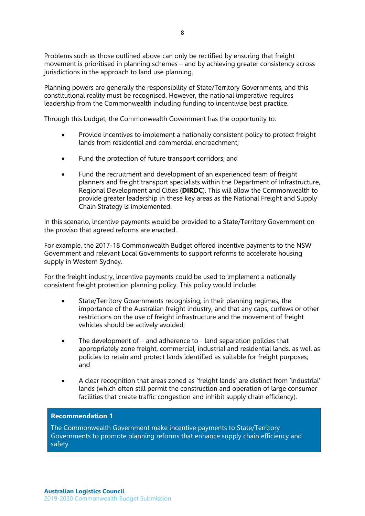Problems such as those outlined above can only be rectified by ensuring that freight movement is prioritised in planning schemes – and by achieving greater consistency across jurisdictions in the approach to land use planning.

Planning powers are generally the responsibility of State/Territory Governments, and this constitutional reality must be recognised. However, the national imperative requires leadership from the Commonwealth including funding to incentivise best practice.

Through this budget, the Commonwealth Government has the opportunity to:

- Provide incentives to implement a nationally consistent policy to protect freight lands from residential and commercial encroachment;
- Fund the protection of future transport corridors; and
- Fund the recruitment and development of an experienced team of freight planners and freight transport specialists within the Department of Infrastructure, Regional Development and Cities (**DIRDC**). This will allow the Commonwealth to provide greater leadership in these key areas as the National Freight and Supply Chain Strategy is implemented.

In this scenario, incentive payments would be provided to a State/Territory Government on the proviso that agreed reforms are enacted.

For example, the 2017-18 Commonwealth Budget offered incentive payments to the NSW Government and relevant Local Governments to support reforms to accelerate housing supply in Western Sydney.

For the freight industry, incentive payments could be used to implement a nationally consistent freight protection planning policy. This policy would include:

- State/Territory Governments recognising, in their planning regimes, the importance of the Australian freight industry, and that any caps, curfews or other restrictions on the use of freight infrastructure and the movement of freight vehicles should be actively avoided;
- The development of  $-$  and adherence to  $-$  land separation policies that appropriately zone freight, commercial, industrial and residential lands, as well as policies to retain and protect lands identified as suitable for freight purposes; and
- A clear recognition that areas zoned as 'freight lands' are distinct from 'industrial' lands (which often still permit the construction and operation of large consumer facilities that create traffic congestion and inhibit supply chain efficiency).

#### **Recommendation 1**

The Commonwealth Government make incentive payments to State/Territory Governments to promote planning reforms that enhance supply chain efficiency and safety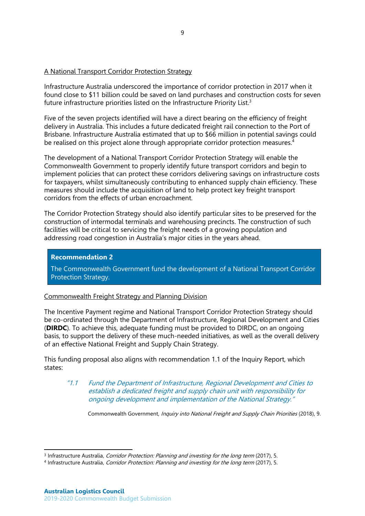# <span id="page-9-0"></span>A National Transport Corridor Protection Strategy

Infrastructure Australia underscored the importance of corridor protection in 2017 when it found close to \$11 billion could be saved on land purchases and construction costs for seven future infrastructure priorities listed on the Infrastructure Priority List.<sup>3</sup>

Five of the seven projects identified will have a direct bearing on the efficiency of freight delivery in Australia. This includes a future dedicated freight rail connection to the Port of Brisbane. Infrastructure Australia estimated that up to \$66 million in potential savings could be realised on this project alone through appropriate corridor protection measures. 4

The development of a National Transport Corridor Protection Strategy will enable the Commonwealth Government to properly identify future transport corridors and begin to implement policies that can protect these corridors delivering savings on infrastructure costs for taxpayers, whilst simultaneously contributing to enhanced supply chain efficiency. These measures should include the acquisition of land to help protect key freight transport corridors from the effects of urban encroachment.

The Corridor Protection Strategy should also identify particular sites to be preserved for the construction of intermodal terminals and warehousing precincts. The construction of such facilities will be critical to servicing the freight needs of a growing population and addressing road congestion in Australia's major cities in the years ahead.

# **Recommendation 2**

The Commonwealth Government fund the development of a National Transport Corridor Protection Strategy.

# <span id="page-9-1"></span>Commonwealth Freight Strategy and Planning Division

The Incentive Payment regime and National Transport Corridor Protection Strategy should be co-ordinated through the Department of Infrastructure, Regional Development and Cities (**DIRDC**). To achieve this, adequate funding must be provided to DIRDC, on an ongoing basis, to support the delivery of these much-needed initiatives, as well as the overall delivery of an effective National Freight and Supply Chain Strategy.

This funding proposal also aligns with recommendation 1.1 of the Inquiry Report, which states:

"1.1 Fund the Department of Infrastructure, Regional Development and Cities to establish a dedicated freight and supply chain unit with responsibility for ongoing development and implementation of the National Strategy."

Commonwealth Government, Inquiry into National Freight and Supply Chain Priorities (2018), 9.

 $\overline{a}$ 

<sup>&</sup>lt;sup>3</sup> Infrastructure Australia, *Corridor Protection: Planning and investing for the long term* (2017), 5.

<sup>&</sup>lt;sup>4</sup> Infrastructure Australia, *Corridor Protection: Planning and investing for the long term* (2017), 5.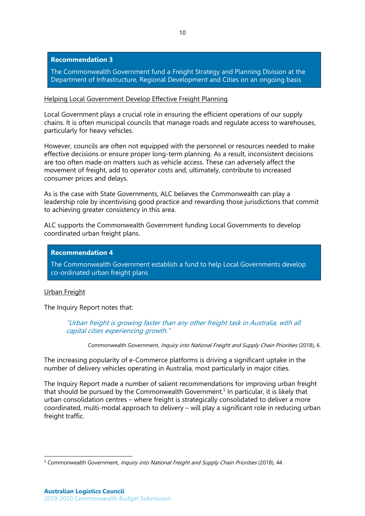## **Recommendation 3**

The Commonwealth Government fund a Freight Strategy and Planning Division at the Department of Infrastructure, Regional Development and Cities on an ongoing basis

## <span id="page-10-0"></span>Helping Local Government Develop Effective Freight Planning

Local Government plays a crucial role in ensuring the efficient operations of our supply chains. It is often municipal councils that manage roads and regulate access to warehouses, particularly for heavy vehicles.

However, councils are often not equipped with the personnel or resources needed to make effective decisions or ensure proper long-term planning. As a result, inconsistent decisions are too often made on matters such as vehicle access. These can adversely affect the movement of freight, add to operator costs and, ultimately, contribute to increased consumer prices and delays.

As is the case with State Governments, ALC believes the Commonwealth can play a leadership role by incentivising good practice and rewarding those jurisdictions that commit to achieving greater consistency in this area.

ALC supports the Commonwealth Government funding Local Governments to develop coordinated urban freight plans.

## **Recommendation 4**

The Commonwealth Government establish a fund to help Local Governments develop co-ordinated urban freight plans

#### <span id="page-10-1"></span>Urban Freight

The Inquiry Report notes that:

"Urban freight is growing faster than any other freight task in Australia, with all capital cities experiencing growth."

Commonwealth Government, Inquiry into National Freight and Supply Chain Priorities (2018), 6.

The increasing popularity of e-Commerce platforms is driving a significant uptake in the number of delivery vehicles operating in Australia, most particularly in major cities.

The Inquiry Report made a number of salient recommendations for improving urban freight that should be pursued by the Commonwealth Government.<sup>5</sup> In particular, it is likely that urban consolidation centres – where freight is strategically consolidated to deliver a more coordinated, multi-modal approach to delivery – will play a significant role in reducing urban freight traffic.

 $\overline{a}$ <sup>5</sup> Commonwealth Government, Inquiry into National Freight and Supply Chain Priorities (2018), 44.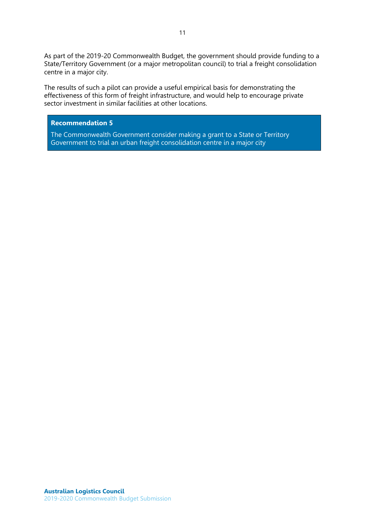As part of the 2019-20 Commonwealth Budget, the government should provide funding to a State/Territory Government (or a major metropolitan council) to trial a freight consolidation centre in a major city.

The results of such a pilot can provide a useful empirical basis for demonstrating the effectiveness of this form of freight infrastructure, and would help to encourage private sector investment in similar facilities at other locations.

## **Recommendation 5**

The Commonwealth Government consider making a grant to a State or Territory Government to trial an urban freight consolidation centre in a major city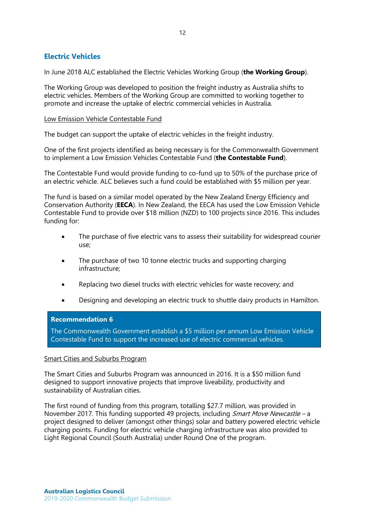# <span id="page-12-0"></span>**Electric Vehicles**

In June 2018 ALC established the Electric Vehicles Working Group (**the Working Group**).

The Working Group was developed to position the freight industry as Australia shifts to electric vehicles. Members of the Working Group are committed to working together to promote and increase the uptake of electric commercial vehicles in Australia.

## <span id="page-12-1"></span>Low Emission Vehicle Contestable Fund

The budget can support the uptake of electric vehicles in the freight industry.

One of the first projects identified as being necessary is for the Commonwealth Government to implement a Low Emission Vehicles Contestable Fund (**the Contestable Fund**).

The Contestable Fund would provide funding to co-fund up to 50% of the purchase price of an electric vehicle. ALC believes such a fund could be established with \$5 million per year.

The fund is based on a similar model operated by the New Zealand Energy Efficiency and Conservation Authority (**EECA**). In New Zealand, the EECA has used the Low Emission Vehicle Contestable Fund to provide over \$18 million (NZD) to 100 projects since 2016. This includes funding for:

- The purchase of five electric vans to assess their suitability for widespread courier use;
- The purchase of two 10 tonne electric trucks and supporting charging infrastructure;
- Replacing two diesel trucks with electric vehicles for waste recovery; and
- Designing and developing an electric truck to shuttle dairy products in Hamilton.

#### **Recommendation 6**

The Commonwealth Government establish a \$5 million per annum Low Emission Vehicle Contestable Fund to support the increased use of electric commercial vehicles.

#### <span id="page-12-2"></span>Smart Cities and Suburbs Program

The Smart Cities and Suburbs Program was announced in 2016. It is a \$50 million fund designed to support innovative projects that improve liveability, productivity and sustainability of Australian cities.

The first round of funding from this program, totalling \$27.7 million, was provided in November 2017. This funding supported 49 projects, including *Smart Move Newcastle –* a project designed to deliver (amongst other things) solar and battery powered electric vehicle charging points. Funding for electric vehicle charging infrastructure was also provided to Light Regional Council (South Australia) under Round One of the program.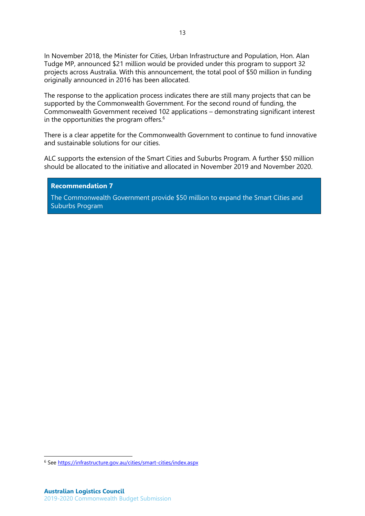In November 2018, the Minister for Cities, Urban Infrastructure and Population, Hon. Alan Tudge MP, announced \$21 million would be provided under this program to support 32 projects across Australia. With this announcement, the total pool of \$50 million in funding originally announced in 2016 has been allocated.

The response to the application process indicates there are still many projects that can be supported by the Commonwealth Government. For the second round of funding, the Commonwealth Government received 102 applications – demonstrating significant interest in the opportunities the program offers.<sup>6</sup>

There is a clear appetite for the Commonwealth Government to continue to fund innovative and sustainable solutions for our cities.

ALC supports the extension of the Smart Cities and Suburbs Program. A further \$50 million should be allocated to the initiative and allocated in November 2019 and November 2020.

#### **Recommendation 7**

The Commonwealth Government provide \$50 million to expand the Smart Cities and Suburbs Program

 $\overline{a}$ 

<sup>6</sup> See<https://infrastructure.gov.au/cities/smart-cities/index.aspx>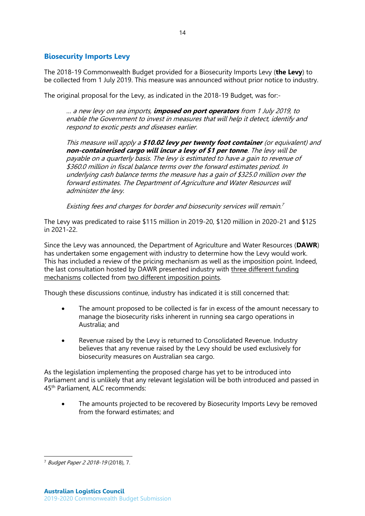# <span id="page-14-0"></span>**Biosecurity Imports Levy**

The 2018-19 Commonwealth Budget provided for a Biosecurity Imports Levy (**the Levy**) to be collected from 1 July 2019. This measure was announced without prior notice to industry.

14

The original proposal for the Levy, as indicated in the 2018-19 Budget, was for:-

… a new levy on sea imports, **imposed on port operators** from 1 July 2019, to enable the Government to invest in measures that will help it detect, identify and respond to exotic pests and diseases earlier.

This measure will apply a **\$10.02 levy per twenty foot container** (or equivalent) and **non-containerised cargo will incur a levy of \$1 per tonne**. The levy will be payable on a quarterly basis. The levy is estimated to have a gain to revenue of \$360.0 million in fiscal balance terms over the forward estimates period. In underlying cash balance terms the measure has a gain of \$325.0 million over the forward estimates. The Department of Agriculture and Water Resources will administer the levy.

Existing fees and charges for border and biosecurity services will remain. 7

The Levy was predicated to raise \$115 million in 2019-20, \$120 million in 2020-21 and \$125 in 2021-22.

Since the Levy was announced, the Department of Agriculture and Water Resources (**DAWR**) has undertaken some engagement with industry to determine how the Levy would work. This has included a review of the pricing mechanism as well as the imposition point. Indeed, the last consultation hosted by DAWR presented industry with three different funding mechanisms collected from two different imposition points.

Though these discussions continue, industry has indicated it is still concerned that:

- The amount proposed to be collected is far in excess of the amount necessary to manage the biosecurity risks inherent in running sea cargo operations in Australia; and
- Revenue raised by the Levy is returned to Consolidated Revenue. Industry believes that any revenue raised by the Levy should be used exclusively for biosecurity measures on Australian sea cargo.

As the legislation implementing the proposed charge has yet to be introduced into Parliament and is unlikely that any relevant legislation will be both introduced and passed in 45th Parliament, ALC recommends:

• The amounts projected to be recovered by Biosecurity Imports Levy be removed from the forward estimates; and

 $\overline{a}$ <sup>7</sup> Budget Paper 2 2018-19 (2018), 7.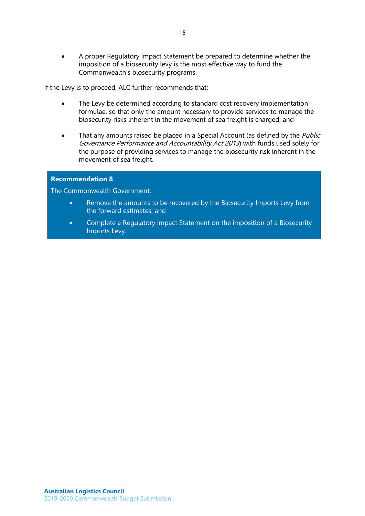• A proper Regulatory Impact Statement be prepared to determine whether the imposition of a biosecurity levy is the most effective way to fund the Commonwealth's biosecurity programs.

If the Levy is to proceed, ALC further recommends that:

- The Levy be determined according to standard cost recovery implementation formulae, so that only the amount necessary to provide services to manage the biosecurity risks inherent in the movement of sea freight is charged; and
- That any amounts raised be placed in a Special Account (as defined by the *Public* Governance Performance and Accountability Act 2013) with funds used solely for the purpose of providing services to manage the biosecurity risk inherent in the movement of sea freight.

## **Recommendation 8**

The Commonwealth Government:

- Remove the amounts to be recovered by the Biosecurity Imports Levy from the forward estimates; and
- Complete a Regulatory Impact Statement on the imposition of a Biosecurity Imports Levy.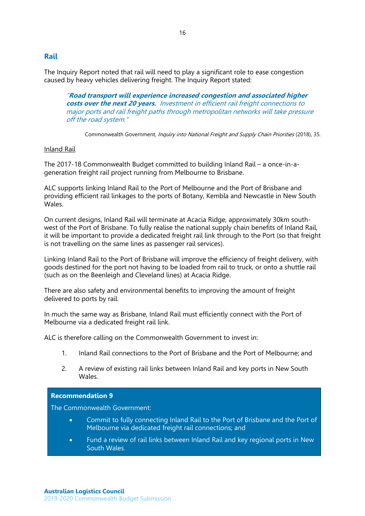# <span id="page-16-0"></span>**Rail**

The Inquiry Report noted that rail will need to play a significant role to ease congestion caused by heavy vehicles delivering freight. The Inquiry Report stated:

"**Road transport will experience increased congestion and associated higher costs over the next 20 years.** Investment in efficient rail freight connections to major ports and rail freight paths through metropolitan networks will take pressure off the road system."

Commonwealth Government, Inquiry into National Freight and Supply Chain Priorities (2018), 35.

## <span id="page-16-1"></span>Inland Rail

The 2017-18 Commonwealth Budget committed to building Inland Rail – a once-in-ageneration freight rail project running from Melbourne to Brisbane.

ALC supports linking Inland Rail to the Port of Melbourne and the Port of Brisbane and providing efficient rail linkages to the ports of Botany, Kembla and Newcastle in New South Wales.

On current designs, Inland Rail will terminate at Acacia Ridge, approximately 30km southwest of the Port of Brisbane. To fully realise the national supply chain benefits of Inland Rail, it will be important to provide a dedicated freight rail link through to the Port (so that freight is not travelling on the same lines as passenger rail services).

Linking Inland Rail to the Port of Brisbane will improve the efficiency of freight delivery, with goods destined for the port not having to be loaded from rail to truck, or onto a shuttle rail (such as on the Beenleigh and Cleveland lines) at Acacia Ridge.

There are also safety and environmental benefits to improving the amount of freight delivered to ports by rail.

In much the same way as Brisbane, Inland Rail must efficiently connect with the Port of Melbourne via a dedicated freight rail link.

ALC is therefore calling on the Commonwealth Government to invest in:

- 1. Inland Rail connections to the Port of Brisbane and the Port of Melbourne; and
- 2. A review of existing rail links between Inland Rail and key ports in New South Wales.

#### **Recommendation 9**

The Commonwealth Government:

- Commit to fully connecting Inland Rail to the Port of Brisbane and the Port of Melbourne via dedicated freight rail connections; and
- Fund a review of rail links between Inland Rail and key regional ports in New South Wales.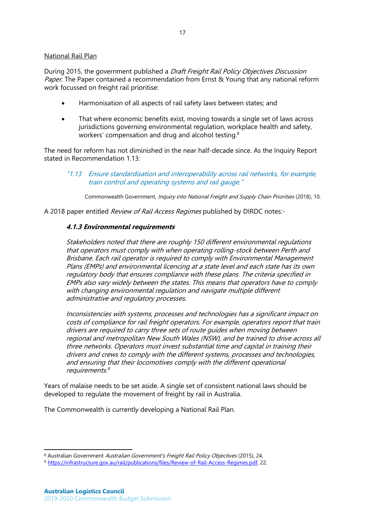## <span id="page-17-0"></span>National Rail Plan

During 2015, the government published a Draft Freight Rail Policy Objectives Discussion Paper. The Paper contained a recommendation from Ernst & Young that any national reform work focussed on freight rail prioritise:

- Harmonisation of all aspects of rail safety laws between states; and
- That where economic benefits exist, moving towards a single set of laws across jurisdictions governing environmental regulation, workplace health and safety, workers' compensation and drug and alcohol testing.<sup>8</sup>

The need for reform has not diminished in the near half-decade since. As the Inquiry Report stated in Recommendation 1.13:

"1.13 Ensure standardisation and interoperability across rail networks, for example, train control and operating systems and rail gauge."

Commonwealth Government, Inquiry into National Freight and Supply Chain Priorities (2018), 10.

A 2018 paper entitled Review of Rail Access Regimes published by DIRDC notes:-

## **4.1.3 Environmental requirements**

Stakeholders noted that there are roughly 150 different environmental regulations that operators must comply with when operating rolling-stock between Perth and Brisbane. Each rail operator is required to comply with Environmental Management Plans (EMPs) and environmental licencing at a state level and each state has its own regulatory body that ensures compliance with these plans. The criteria specified in EMPs also vary widely between the states. This means that operators have to comply with changing environmental regulation and navigate multiple different administrative and regulatory processes.

Inconsistencies with systems, processes and technologies has a significant impact on costs of compliance for rail freight operators. For example, operators report that train drivers are required to carry three sets of route guides when moving between regional and metropolitan New South Wales (NSW), and be trained to drive across all three networks. Operators must invest substantial time and capital in training their drivers and crews to comply with the different systems, processes and technologies, and ensuring that their locomotives comply with the different operational requirements. 9

Years of malaise needs to be set aside. A single set of consistent national laws should be developed to regulate the movement of freight by rail in Australia.

The Commonwealth is currently developing a National Rail Plan.

 $\overline{a}$ 

<sup>8</sup> Australian Government Australian Government's Freight Rail Policy Objectives (2015), 24.

<sup>9</sup> [https://infrastructure.gov.au/rail/publications/files/Review-of-Rail-Access-Regimes.pdf,](https://infrastructure.gov.au/rail/publications/files/Review-of-Rail-Access-Regimes.pdf) 22.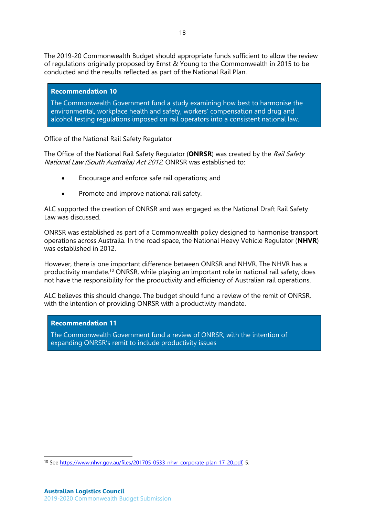The 2019-20 Commonwealth Budget should appropriate funds sufficient to allow the review of regulations originally proposed by Ernst & Young to the Commonwealth in 2015 to be conducted and the results reflected as part of the National Rail Plan.

# **Recommendation 10**

The Commonwealth Government fund a study examining how best to harmonise the environmental, workplace health and safety, workers' compensation and drug and alcohol testing regulations imposed on rail operators into a consistent national law.

<span id="page-18-0"></span>Office of the National Rail Safety Regulator

The Office of the National Rail Safety Regulator (**ONRSR**) was created by the Rail Safety National Law (South Australia) Act 2012. ONRSR was established to:

- Encourage and enforce safe rail operations; and
- Promote and improve national rail safety.

ALC supported the creation of ONRSR and was engaged as the National Draft Rail Safety Law was discussed.

ONRSR was established as part of a Commonwealth policy designed to harmonise transport operations across Australia. In the road space, the National Heavy Vehicle Regulator (**NHVR**) was established in 2012.

However, there is one important difference between ONRSR and NHVR. The NHVR has a productivity mandate.<sup>10</sup> ONRSR, while playing an important role in national rail safety, does not have the responsibility for the productivity and efficiency of Australian rail operations.

ALC believes this should change. The budget should fund a review of the remit of ONRSR, with the intention of providing ONRSR with a productivity mandate.

# **Recommendation 11**

The Commonwealth Government fund a review of ONRSR, with the intention of expanding ONRSR's remit to include productivity issues

 $\overline{a}$ <sup>10</sup> Se[e https://www.nhvr.gov.au/files/201705-0533-nhvr-corporate-plan-17-20.pdf,](https://www.nhvr.gov.au/files/201705-0533-nhvr-corporate-plan-17-20.pdf) 5.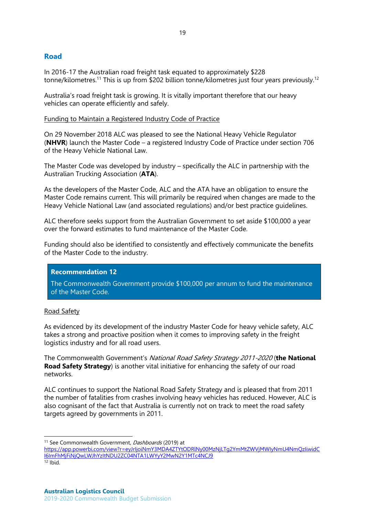# <span id="page-19-0"></span>**Road**

In 2016-17 the Australian road freight task equated to approximately \$228 tonne/kilometres.<sup>11</sup> This is up from \$202 billion tonne/kilometres just four years previously.<sup>12</sup>

Australia's road freight task is growing. It is vitally important therefore that our heavy vehicles can operate efficiently and safely.

## <span id="page-19-1"></span>Funding to Maintain a Registered Industry Code of Practice

On 29 November 2018 ALC was pleased to see the National Heavy Vehicle Regulator (**NHVR**) launch the Master Code – a registered Industry Code of Practice under section 706 of the Heavy Vehicle National Law.

The Master Code was developed by industry – specifically the ALC in partnership with the Australian Trucking Association (**ATA**).

As the developers of the Master Code, ALC and the ATA have an obligation to ensure the Master Code remains current. This will primarily be required when changes are made to the Heavy Vehicle National Law (and associated regulations) and/or best practice guidelines.

ALC therefore seeks support from the Australian Government to set aside \$100,000 a year over the forward estimates to fund maintenance of the Master Code.

Funding should also be identified to consistently and effectively communicate the benefits of the Master Code to the industry.

# **Recommendation 12**

The Commonwealth Government provide \$100,000 per annum to fund the maintenance of the Master Code.

#### <span id="page-19-2"></span>Road Safety

As evidenced by its development of the industry Master Code for heavy vehicle safety, ALC takes a strong and proactive position when it comes to improving safety in the freight logistics industry and for all road users.

The Commonwealth Government's National Road Safety Strategy 2011-2020 (**the National Road Safety Strategy**) is another vital initiative for enhancing the safety of our road networks.

ALC continues to support the National Road Safety Strategy and is pleased that from 2011 the number of fatalities from crashes involving heavy vehicles has reduced. However, ALC is also cognisant of the fact that Australia is currently not on track to meet the road safety targets agreed by governments in 2011.

 $\overline{a}$ 

<sup>&</sup>lt;sup>11</sup> See Commonwealth Government, Dashboards (2019) at

[https://app.powerbi.com/view?r=eyJrIjoiNmY3MDA4ZTYtODRlNy00MzNjLTg2YmMtZWVjMWIyNmU4NmQzIiwidC](https://app.powerbi.com/view?r=eyJrIjoiNmY3MDA4ZTYtODRlNy00MzNjLTg2YmMtZWVjMWIyNmU4NmQzIiwidCI6ImFhMjFiNjQwLWJhYzItNDU2ZC04NTA1LWYyY2MwN2Y1MTc4NCJ9) [I6ImFhMjFiNjQwLWJhYzItNDU2ZC04NTA1LWYyY2MwN2Y1MTc4NCJ9](https://app.powerbi.com/view?r=eyJrIjoiNmY3MDA4ZTYtODRlNy00MzNjLTg2YmMtZWVjMWIyNmU4NmQzIiwidCI6ImFhMjFiNjQwLWJhYzItNDU2ZC04NTA1LWYyY2MwN2Y1MTc4NCJ9)

 $12$  Ibid.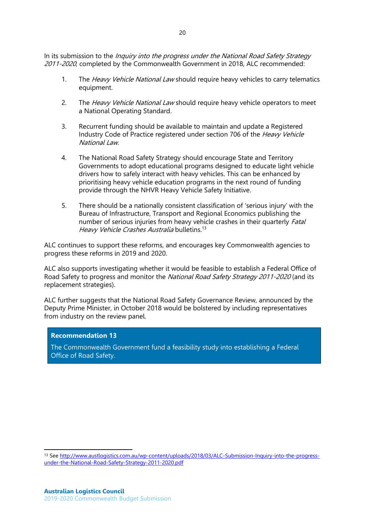In its submission to the *Inquiry into the progress under the National Road Safety Strategy* 2011-2020, completed by the Commonwealth Government in 2018, ALC recommended:

- 1. The Heavy Vehicle National Law should require heavy vehicles to carry telematics equipment.
- 2. The Heavy Vehicle National Law should require heavy vehicle operators to meet a National Operating Standard.
- 3. Recurrent funding should be available to maintain and update a Registered Industry Code of Practice registered under section 706 of the Heavy Vehicle National Law.
- 4. The National Road Safety Strategy should encourage State and Territory Governments to adopt educational programs designed to educate light vehicle drivers how to safely interact with heavy vehicles. This can be enhanced by prioritising heavy vehicle education programs in the next round of funding provide through the NHVR Heavy Vehicle Safety Initiative.
- 5. There should be a nationally consistent classification of 'serious injury' with the Bureau of Infrastructure, Transport and Regional Economics publishing the number of serious injuries from heavy vehicle crashes in their quarterly *Fatal* Heavy Vehicle Crashes Australia bulletins.<sup>13</sup>

ALC continues to support these reforms, and encourages key Commonwealth agencies to progress these reforms in 2019 and 2020.

ALC also supports investigating whether it would be feasible to establish a Federal Office of Road Safety to progress and monitor the *National Road Safety Strategy 2011-2020* (and its replacement strategies).

ALC further suggests that the National Road Safety Governance Review, announced by the Deputy Prime Minister, in October 2018 would be bolstered by including representatives from industry on the review panel.

#### **Recommendation 13**

 $\overline{a}$ 

The Commonwealth Government fund a feasibility study into establishing a Federal Office of Road Safety.

<sup>13</sup> Se[e http://www.austlogistics.com.au/wp-content/uploads/2018/03/ALC-Submission-Inquiry-into-the-progress](http://www.austlogistics.com.au/wp-content/uploads/2018/03/ALC-Submission-Inquiry-into-the-progress-under-the-National-Road-Safety-Strategy-2011-2020.pdf)[under-the-National-Road-Safety-Strategy-2011-2020.pdf](http://www.austlogistics.com.au/wp-content/uploads/2018/03/ALC-Submission-Inquiry-into-the-progress-under-the-National-Road-Safety-Strategy-2011-2020.pdf)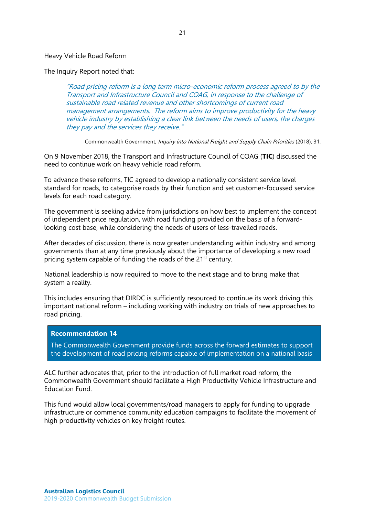#### <span id="page-21-0"></span>Heavy Vehicle Road Reform

The Inquiry Report noted that:

"Road pricing reform is a long term micro-economic reform process agreed to by the Transport and Infrastructure Council and COAG, in response to the challenge of sustainable road related revenue and other shortcomings of current road management arrangements. The reform aims to improve productivity for the heavy vehicle industry by establishing a clear link between the needs of users, the charges they pay and the services they receive."

Commonwealth Government, Inquiry into National Freight and Supply Chain Priorities (2018), 31.

On 9 November 2018, the Transport and Infrastructure Council of COAG (**TIC**) discussed the need to continue work on heavy vehicle road reform.

To advance these reforms, TIC agreed to develop a nationally consistent service level standard for roads, to categorise roads by their function and set customer-focussed service levels for each road category.

The government is seeking advice from jurisdictions on how best to implement the concept of independent price regulation, with road funding provided on the basis of a forwardlooking cost base, while considering the needs of users of less-travelled roads.

After decades of discussion, there is now greater understanding within industry and among governments than at any time previously about the importance of developing a new road pricing system capable of funding the roads of the 21<sup>st</sup> century.

National leadership is now required to move to the next stage and to bring make that system a reality.

This includes ensuring that DIRDC is sufficiently resourced to continue its work driving this important national reform – including working with industry on trials of new approaches to road pricing.

#### **Recommendation 14**

The Commonwealth Government provide funds across the forward estimates to support the development of road pricing reforms capable of implementation on a national basis

ALC further advocates that, prior to the introduction of full market road reform, the Commonwealth Government should facilitate a High Productivity Vehicle Infrastructure and Education Fund.

This fund would allow local governments/road managers to apply for funding to upgrade infrastructure or commence community education campaigns to facilitate the movement of high productivity vehicles on key freight routes.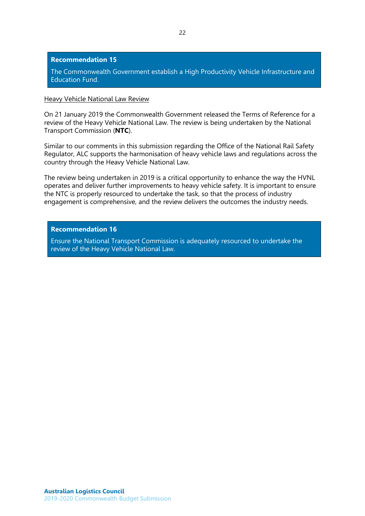#### **Recommendation 15**

The Commonwealth Government establish a High Productivity Vehicle Infrastructure and Education Fund.

#### <span id="page-22-0"></span>Heavy Vehicle National Law Review

On 21 January 2019 the Commonwealth Government released the Terms of Reference for a review of the Heavy Vehicle National Law. The review is being undertaken by the National Transport Commission (**NTC**).

Similar to our comments in this submission regarding the Office of the National Rail Safety Regulator, ALC supports the harmonisation of heavy vehicle laws and regulations across the country through the Heavy Vehicle National Law.

The review being undertaken in 2019 is a critical opportunity to enhance the way the HVNL operates and deliver further improvements to heavy vehicle safety. It is important to ensure the NTC is properly resourced to undertake the task, so that the process of industry engagement is comprehensive, and the review delivers the outcomes the industry needs.

#### **Recommendation 16**

Ensure the National Transport Commission is adequately resourced to undertake the review of the Heavy Vehicle National Law.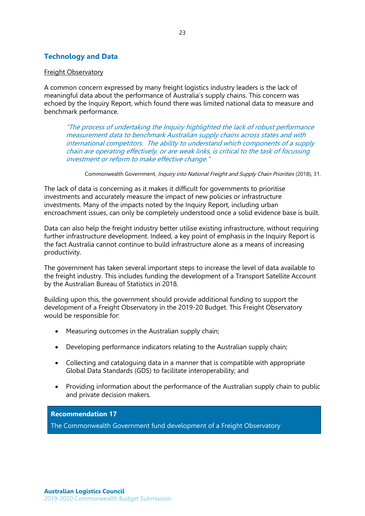# <span id="page-23-0"></span>**Technology and Data**

## <span id="page-23-1"></span>Freight Observatory

A common concern expressed by many freight logistics industry leaders is the lack of meaningful data about the performance of Australia's supply chains. This concern was echoed by the Inquiry Report, which found there was limited national data to measure and benchmark performance.

"The process of undertaking the Inquiry highlighted the lack of robust performance measurement data to benchmark Australian supply chains across states and with international competitors. The ability to understand which components of a supply chain are operating effectively, or are weak links, is critical to the task of focussing investment or reform to make effective change."

Commonwealth Government, Inquiry into National Freight and Supply Chain Priorities (2018), 31.

The lack of data is concerning as it makes it difficult for governments to prioritise investments and accurately measure the impact of new policies or infrastructure investments. Many of the impacts noted by the Inquiry Report, including urban encroachment issues, can only be completely understood once a solid evidence base is built.

Data can also help the freight industry better utilise existing infrastructure, without requiring further infrastructure development. Indeed, a key point of emphasis in the Inquiry Report is the fact Australia cannot continue to build infrastructure alone as a means of increasing productivity.

The government has taken several important steps to increase the level of data available to the freight industry. This includes funding the development of a Transport Satellite Account by the Australian Bureau of Statistics in 2018.

Building upon this, the government should provide additional funding to support the development of a Freight Observatory in the 2019-20 Budget. This Freight Observatory would be responsible for:

- Measuring outcomes in the Australian supply chain;
- Developing performance indicators relating to the Australian supply chain;
- Collecting and cataloguing data in a manner that is compatible with appropriate Global Data Standards (GDS) to facilitate interoperability; and
- Providing information about the performance of the Australian supply chain to public and private decision makers.

**Recommendation 17**

The Commonwealth Government fund development of a Freight Observatory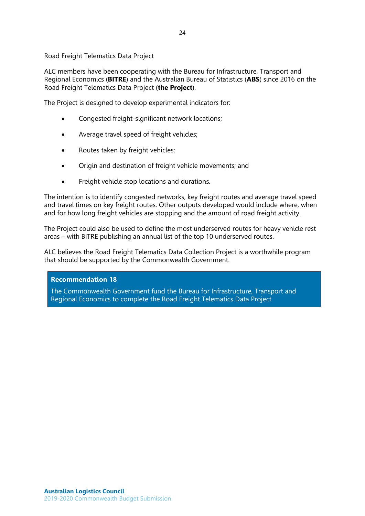# <span id="page-24-0"></span>Road Freight Telematics Data Project

ALC members have been cooperating with the Bureau for Infrastructure, Transport and Regional Economics (**BITRE**) and the Australian Bureau of Statistics (**ABS**) since 2016 on the Road Freight Telematics Data Project (**the Project**).

The Project is designed to develop experimental indicators for:

- Congested freight-significant network locations;
- Average travel speed of freight vehicles;
- Routes taken by freight vehicles;
- Origin and destination of freight vehicle movements; and
- Freight vehicle stop locations and durations.

The intention is to identify congested networks, key freight routes and average travel speed and travel times on key freight routes. Other outputs developed would include where, when and for how long freight vehicles are stopping and the amount of road freight activity.

The Project could also be used to define the most underserved routes for heavy vehicle rest areas – with BITRE publishing an annual list of the top 10 underserved routes.

ALC believes the Road Freight Telematics Data Collection Project is a worthwhile program that should be supported by the Commonwealth Government.

## **Recommendation 18**

The Commonwealth Government fund the Bureau for Infrastructure, Transport and Regional Economics to complete the Road Freight Telematics Data Project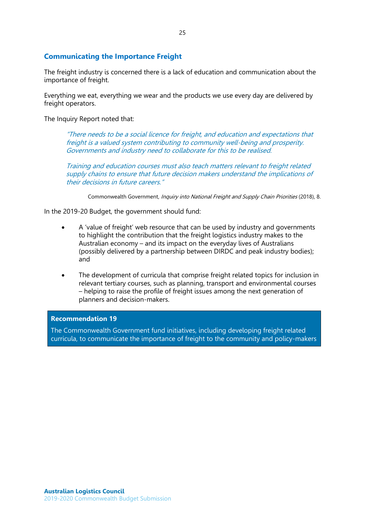# <span id="page-25-0"></span>**Communicating the Importance Freight**

The freight industry is concerned there is a lack of education and communication about the importance of freight.

Everything we eat, everything we wear and the products we use every day are delivered by freight operators.

The Inquiry Report noted that:

"There needs to be a social licence for freight, and education and expectations that freight is a valued system contributing to community well-being and prosperity. Governments and industry need to collaborate for this to be realised.

Training and education courses must also teach matters relevant to freight related supply chains to ensure that future decision makers understand the implications of their decisions in future careers."

Commonwealth Government, *Inquiry into National Freight and Supply Chain Priorities* (2018), 8.

In the 2019-20 Budget, the government should fund:

- A 'value of freight' web resource that can be used by industry and governments to highlight the contribution that the freight logistics industry makes to the Australian economy – and its impact on the everyday lives of Australians (possibly delivered by a partnership between DIRDC and peak industry bodies); and
- The development of curricula that comprise freight related topics for inclusion in relevant tertiary courses, such as planning, transport and environmental courses – helping to raise the profile of freight issues among the next generation of planners and decision-makers.

# **Recommendation 19**

The Commonwealth Government fund initiatives, including developing freight related curricula, to communicate the importance of freight to the community and policy-makers